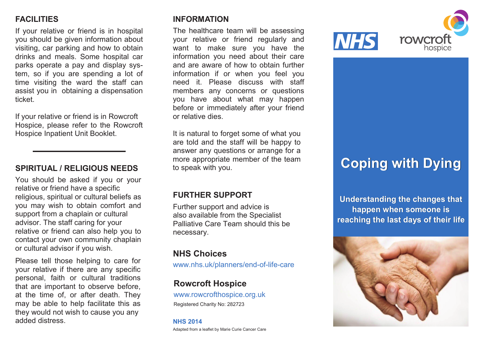# **FACILITIES FACILITIES FACILITIES**

If your relative or friend is in hospital If your relative or friend is in hospital If your relative or friend is in hospital you should be given information about you should be given information about you should be given information about visiting, car parking and how to obtain visiting, car parking and how to obtain visiting, car parking and how to obtain drinks and meals. Some hospital car drinks and meals. Some hospital car drinks and meals. Some hospital car parks operate a pay and display sys-parks operate a pay and display sys-parks operate a pay and display system, so if you are spending a lot of tem, so if you are spending a lot of tem, so if you are spending a lot of time visiting the ward the staff can assist you in obtaining a dispensation assist you in obtaining a dispensation assist you in obtaining a dispensation ticket. ticket.

If your relative or friend is in Rowcroft If your relative or friend is in Rowcroft If your relative or friend is in Rowcroft Hospice, please refer to the Rowcroft Hospice, please refer to the Rowcroft Hospice, please refer to the Rowcroft Hospice Inpatient Unit Booklet. Hospice Inpatient Unit Booklet. Hospice Inpatient Unit Booklet.

## **SPIRITUAL / RELIGIOUS NEEDS SPIRITUAL / RELIGIOUS NEEDS SPIRITUAL / RELIGIOUS NEEDS**

You should be asked if you or your You should be asked if you or your You should be asked if you or your relative or friend have a specific religious, spiritual or cultural beliefs as religious, spiritual or cultural beliefs as religious, spiritual or cultural beliefs as you may wish to obtain comfort and support from a chaplain or cultural advisor. The staff caring for your advisor. The staff caring for your advisor. The staff caring for your relative or friend can also help you to contact your own community chaplain contact your own community chaplain contact your own community chaplain or cultural advisor if you wish. or cultural advisor if you wish. or cultural advisor if you wish.

Please tell those helping to care for Please tell those helping to care for Please tell those helping to care for your relative if there are any specific your relative if there are any specific your relative if there are any specific personal, faith or cultural traditions personal, faith or cultural traditions personal, faith or cultural traditions that are important to observe before, at the time of, or after death. They may be able to help facilitate this as may be able to help facilitate this as may be able to help facilitate this as they would not wish to cause you any they would not wish to cause you any they would not wish to cause you any added distress. added distress. added distress.

## **INFORMATION INFORMATION INFORMATION**

The healthcare team will be assessing The healthcare team will be assessing The healthcare team will be assessing your relative or friend regularly and want to make sure you have the want to make sure you have the want to make sure you have the and are aware of how to obtain further and are aware of how to obtain further and are aware of how to obtain further information you need about their care information you need about their care information you need about their care information if or when you feel you information if or when you feel you information if or when you feel you need it. Please discuss with staff need it. Please discuss with staff need it. Please discuss with staff members any concerns or questions members any concerns or questions members any concerns or questions you have about what may happen you have about what may happen you have about what may happen before or immediately after your friend before or immediately after your friend before or immediately after your friend or relative dies. or relative dies. or relative dies.

It is natural to forget some of what you It is natural to forget some of what you It is natural to forget some of what you are told and the staff will be happy to are told and the staff will be happy to are told and the staff will be happy to answer any questions or arrange for a answer any questions or arrange for a answer any questions or arrange for a more appropriate member of the team more appropriate member of the team more appropriate member of the team to speak with you. to speak with you. to speak with you.

## **FURTHER SUPPORT FURTHER SUPPORT FURTHER SUPPORT**

Further support and advice is Further support and advice is Further support and advice is also available from the Specialist also available from the Specialist also available from the Specialist Palliative Care Team should this be Palliative Care Team should this be Palliative Care Team should this be necessary. necessary. necessary.

## **NHS Choices NHS Choices NHS Choices**

www.nhs.uk/planners/end-of-life-care www.nhs.uk/planners/end-of-life-care www.nhs.uk/planners/end-of-life-care

## **Rowcroft Hospice**

www.rowcrofthospice.org.uk Registered Charity No: 282723

#### **NHS 2014 NHS 2014 NHS 2014**

Adapted from a leaflet by Marie Curie Cancer Care Adapted from a leaflet by Marie Curie Cancer Care Adapted from a leaflet by Marie Curie Cancer Care



# **Coping with Dying Coping with Dying Coping with Dying**

**Understanding the changes that Understanding the changes that Understanding the changes that happen when someone is happen when someone is happen when someone is** reaching the last days of their life